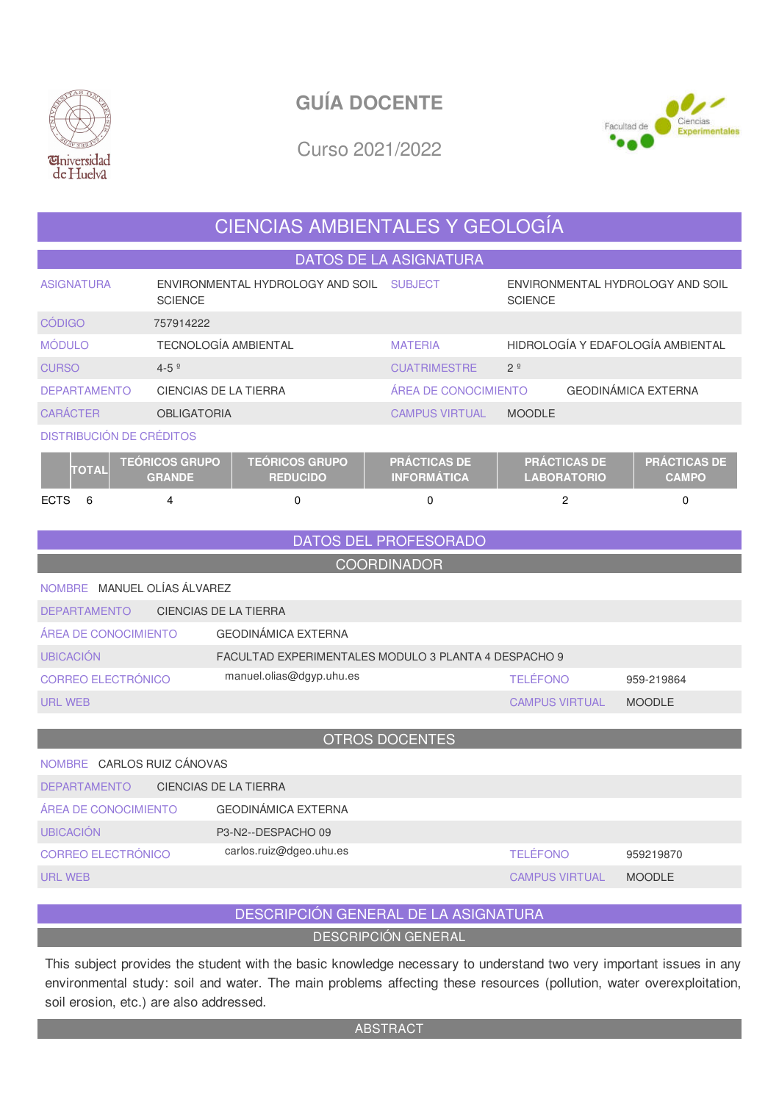

# **GUÍA DOCENTE**



Curso 2021/2022

# CIENCIAS AMBIENTALES Y GEOLOGÍA

DATOS DE LA ASIGNATURA

| <b>ASIGNATURA</b>               | ENVIRONMENTAL HYDROLOGY AND SOIL<br><b>SCIENCE</b> |                                          | <b>SUBJECT</b>                            | ENVIRONMENTAL HYDROLOGY AND SOIL<br><b>SCIENCE</b> |                                     |  |  |  |
|---------------------------------|----------------------------------------------------|------------------------------------------|-------------------------------------------|----------------------------------------------------|-------------------------------------|--|--|--|
| <b>CÓDIGO</b>                   | 757914222                                          |                                          |                                           |                                                    |                                     |  |  |  |
| <b>MÓDULO</b>                   | <b>TECNOLOGÍA AMBIENTAL</b>                        |                                          | <b>MATERIA</b>                            | HIDROLOGÍA Y EDAFOLOGÍA AMBIENTAL                  |                                     |  |  |  |
| <b>CURSO</b>                    | $4 - 5$ $9$                                        |                                          | <b>CUATRIMESTRE</b>                       | 2 <sup>o</sup>                                     |                                     |  |  |  |
| <b>DEPARTAMENTO</b>             | CIENCIAS DE LA TIERRA                              |                                          | ÁREA DE CONOCIMIENTO                      |                                                    | <b>GEODINÁMICA EXTERNA</b>          |  |  |  |
| <b>CARÁCTER</b>                 | <b>OBLIGATORIA</b>                                 |                                          | <b>CAMPUS VIRTUAL</b>                     | <b>MOODLE</b>                                      |                                     |  |  |  |
| <b>DISTRIBUCIÓN DE CRÉDITOS</b> |                                                    |                                          |                                           |                                                    |                                     |  |  |  |
| <b>TOTAL</b>                    | <b>TEÓRICOS GRUPO</b><br><b>GRANDE</b>             | <b>TEÓRICOS GRUPO</b><br><b>REDUCIDO</b> | <b>PRÁCTICAS DE</b><br><b>INFORMÁTICA</b> | <b>PRÁCTICAS DE</b><br><b>LABORATORIO</b>          | <b>PRÁCTICAS DE</b><br><b>CAMPO</b> |  |  |  |
| <b>ECTS</b><br>6                | 4                                                  | $\Omega$                                 | $\Omega$                                  | 2                                                  | $\Omega$                            |  |  |  |

DATOS DEL PROFESORADO

COORDINADOR

NOMBRE MANUEL OLÍAS ÁLVAREZ

| <b>DEPARTAMENTO</b>  | CIENCIAS DE LA TIERRA                                |                       |               |  |  |  |  |  |
|----------------------|------------------------------------------------------|-----------------------|---------------|--|--|--|--|--|
| ÁREA DE CONOCIMIENTO | GEODINÁMICA EXTERNA                                  |                       |               |  |  |  |  |  |
| <b>UBICACIÓN</b>     | FACULTAD EXPERIMENTALES MODULO 3 PLANTA 4 DESPACHO 9 |                       |               |  |  |  |  |  |
| CORREO ELECTRÓNICO   | manuel.olias@dgyp.uhu.es                             | <b>TELÉFONO</b>       | 959-219864    |  |  |  |  |  |
| URL WEB              |                                                      | <b>CAMPUS VIRTUAL</b> | <b>MOODLE</b> |  |  |  |  |  |

#### OTROS DOCENTES

| NOMBRE CARLOS RUIZ CÁNOVAS                   |                         |  |                       |               |  |  |  |  |  |
|----------------------------------------------|-------------------------|--|-----------------------|---------------|--|--|--|--|--|
| CIENCIAS DE LA TIERRA<br><b>DEPARTAMENTO</b> |                         |  |                       |               |  |  |  |  |  |
| ÁREA DE CONOCIMIENTO                         | GEODINÁMICA EXTERNA     |  |                       |               |  |  |  |  |  |
| <b>UBICACIÓN</b>                             | P3-N2--DESPACHO 09      |  |                       |               |  |  |  |  |  |
| CORREO ELECTRÓNICO                           | carlos.ruiz@dgeo.uhu.es |  | <b>TELÉFONO</b>       | 959219870     |  |  |  |  |  |
| URL WEB                                      |                         |  | <b>CAMPUS VIRTUAL</b> | <b>MOODLE</b> |  |  |  |  |  |

### DESCRIPCIÓN GENERAL DE LA ASIGNATURA

DESCRIPCIÓN GENERAL

This subject provides the student with the basic knowledge necessary to understand two very important issues in any environmental study: soil and water. The main problems affecting these resources (pollution, water overexploitation, soil erosion, etc.) are also addressed.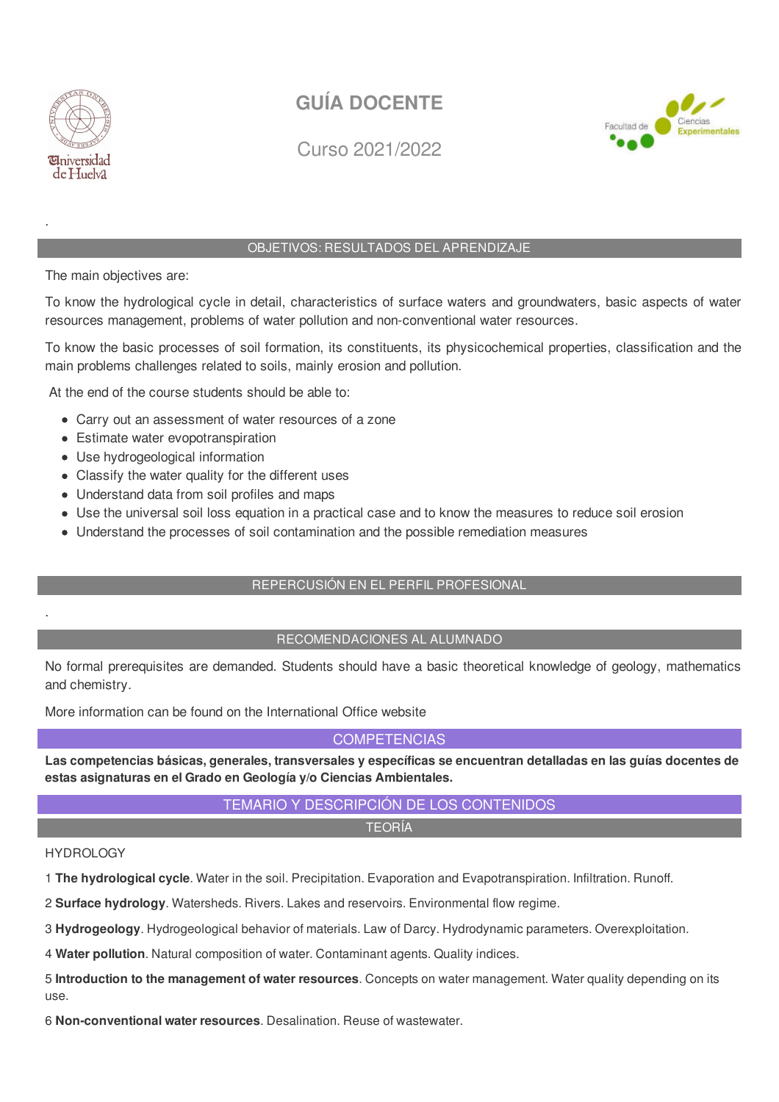

.

.

# **GUÍA DOCENTE**



Curso 2021/2022

### OBJETIVOS: RESULTADOS DEL APRENDIZAJE

The main objectives are:

To know the hydrological cycle in detail, characteristics of surface waters and groundwaters, basic aspects of water resources management, problems of water pollution and non-conventional water resources.

To know the basic processes of soil formation, its constituents, its physicochemical properties, classification and the main problems challenges related to soils, mainly erosion and pollution.

At the end of the course students should be able to:

- Carry out an assessment of water resources of a zone
- Estimate water evopotranspiration
- Use hydrogeological information
- Classify the water quality for the different uses
- Understand data from soil profiles and maps
- Use the universal soil loss equation in a practical case and to know the measures to reduce soil erosion
- Understand the processes of soil contamination and the possible remediation measures

#### REPERCUSIÓN EN EL PERFIL PROFESIONAL

#### RECOMENDACIONES AL ALUMNADO

No formal prerequisites are demanded. Students should have a basic theoretical knowledge of geology, mathematics and chemistry.

More information can be found on the International Office website

#### **COMPETENCIAS**

**Las competencias básicas, generales, transversales y específicas se encuentran detalladas en las guías docentes de estas asignaturas en el Grado en Geología y/o Ciencias Ambientales.**

## TEMARIO Y DESCRIPCIÓN DE LOS CONTENIDOS

TEORÍA

#### HYDROLOGY

1 **The hydrological cycle**. Water in the soil. Precipitation. Evaporation and Evapotranspiration. Infiltration. Runoff.

2 **Surface hydrology**. Watersheds. Rivers. Lakes and reservoirs. Environmental flow regime.

3 **Hydrogeology**. Hydrogeological behavior of materials. Law of Darcy. Hydrodynamic parameters. Overexploitation.

4 **Water pollution**. Natural composition of water. Contaminant agents. Quality indices.

5 **Introduction to the management of water resources**. Concepts on water management. Water quality depending on its use.

6 **Non-conventional water resources**. Desalination. Reuse of wastewater.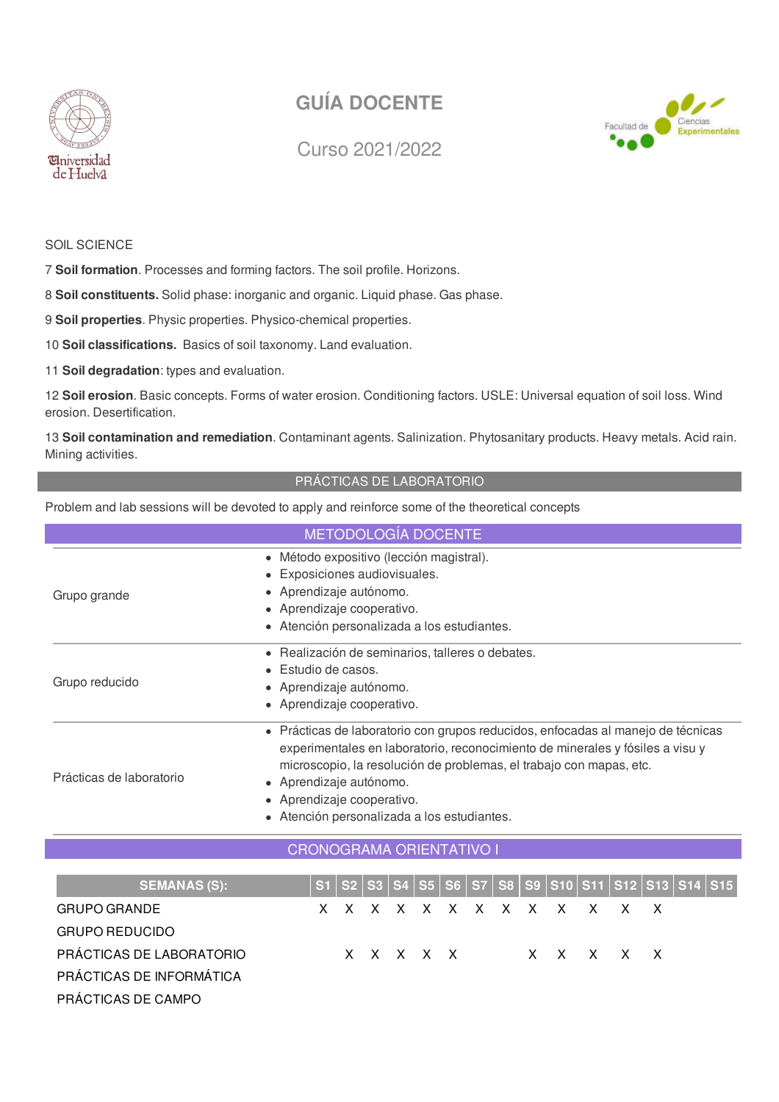

# **GUÍA DOCENTE**

Curso 2021/2022



### SOIL SCIENCE

7 **Soil formation**. Processes and forming factors. The soil profile. Horizons.

8 **Soil constituents.** Solid phase: inorganic and organic. Liquid phase. Gas phase.

9 **Soil properties**. Physic properties. Physico-chemical properties.

10 **Soil classifications.** Basics of soil taxonomy. Land evaluation.

11 **Soil degradation**: types and evaluation.

12 **Soil erosion**. Basic concepts. Forms of water erosion. Conditioning factors. USLE: Universal equation of soil loss. Wind erosion. Desertification.

13 **Soil contamination and remediation**. Contaminant agents. Salinization. Phytosanitary products. Heavy metals. Acid rain. Mining activities.

#### PRÁCTICAS DE LABORATORIO

Problem and lab sessions will be devoted to apply and reinforce some of the theoretical concepts

| METODOLOGÍA DOCENTE             |                                                                                                                                                                                                                                                                                                                                                  |  |  |  |  |  |  |  |  |
|---------------------------------|--------------------------------------------------------------------------------------------------------------------------------------------------------------------------------------------------------------------------------------------------------------------------------------------------------------------------------------------------|--|--|--|--|--|--|--|--|
| Grupo grande                    | · Método expositivo (lección magistral).<br>Exposiciones audiovisuales.<br>$\bullet$<br>• Aprendizaje autónomo.<br>• Aprendizaje cooperativo.<br>• Atención personalizada a los estudiantes.                                                                                                                                                     |  |  |  |  |  |  |  |  |
| Grupo reducido                  | • Realización de seminarios, talleres o debates.<br>Estudio de casos.<br>Aprendizaje autónomo.<br>$\bullet$<br>• Aprendizaje cooperativo.                                                                                                                                                                                                        |  |  |  |  |  |  |  |  |
| Prácticas de laboratorio        | • Prácticas de laboratorio con grupos reducidos, enfocadas al manejo de técnicas<br>experimentales en laboratorio, reconocimiento de minerales y fósiles a visu y<br>microscopio, la resolución de problemas, el trabajo con mapas, etc.<br>• Aprendizaje autónomo.<br>• Aprendizaje cooperativo.<br>• Atención personalizada a los estudiantes. |  |  |  |  |  |  |  |  |
| <b>CRONOGRAMA ORIENTATIVO I</b> |                                                                                                                                                                                                                                                                                                                                                  |  |  |  |  |  |  |  |  |
| <b>SEMANAS (S):</b>             | S2   S3   S4   S5   S6   S7   S8   S9  S10   S <u>11   S12   S13  </u><br>S1<br><b>S14</b><br><b>S15</b>                                                                                                                                                                                                                                         |  |  |  |  |  |  |  |  |

| <b>SEMANAS (S):</b>      |  |  |  |  |  |  |                           |  | S1   S2   S3   S4   S5   S6   S7   S8   S9  S10   S11   S12   S13   S14   S15 |
|--------------------------|--|--|--|--|--|--|---------------------------|--|-------------------------------------------------------------------------------|
| <b>GRUPO GRANDE</b>      |  |  |  |  |  |  | x x x x x x x x x x x x x |  |                                                                               |
| <b>GRUPO REDUCIDO</b>    |  |  |  |  |  |  |                           |  |                                                                               |
| PRÁCTICAS DE LABORATORIO |  |  |  |  |  |  | XXXXX XXXXX               |  |                                                                               |
| PRÁCTICAS DE INFORMÁTICA |  |  |  |  |  |  |                           |  |                                                                               |
| PRÁCTICAS DE CAMPO       |  |  |  |  |  |  |                           |  |                                                                               |